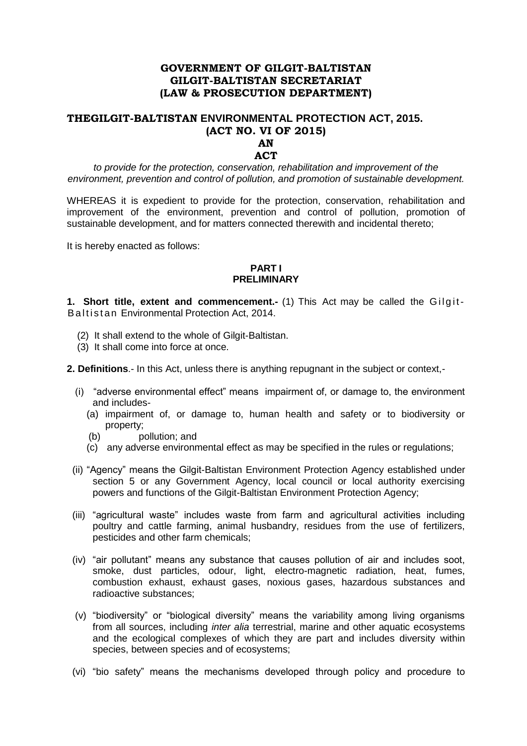# **GOVERNMENT OF GILGIT-BALTISTAN GILGIT-BALTISTAN SECRETARIAT (LAW & PROSECUTION DEPARTMENT)**

# **THEGILGIT-BALTISTAN ENVIRONMENTAL PROTECTION ACT, 2015. (ACT NO. VI OF 2015)**

# **AN**

# **ACT**

*to provide for the protection, conservation, rehabilitation and improvement of the environment, prevention and control of pollution, and promotion of sustainable development.*

WHEREAS it is expedient to provide for the protection, conservation, rehabilitation and improvement of the environment, prevention and control of pollution, promotion of sustainable development, and for matters connected therewith and incidental thereto;

It is hereby enacted as follows:

# **PART I PRELIMINARY**

**1. Short title, extent and commencement.-** (1) This Act may be called the Gilgit-Baltistan Environmental Protection Act, 2014.

- (2) It shall extend to the whole of Gilgit-Baltistan.
- (3) It shall come into force at once.

**2. Definitions**.- In this Act, unless there is anything repugnant in the subject or context,-

- (i) "adverse environmental effect" means impairment of, or damage to, the environment and includes-
	- (a) impairment of, or damage to, human health and safety or to biodiversity or property;
	- (b) pollution; and
	- (c) any adverse environmental effect as may be specified in the rules or regulations;
- (ii) "Agency" means the Gilgit-Baltistan Environment Protection Agency established under section 5 or any Government Agency, local council or local authority exercising powers and functions of the Gilgit-Baltistan Environment Protection Agency;
- (iii) "agricultural waste" includes waste from farm and agricultural activities including poultry and cattle farming, animal husbandry, residues from the use of fertilizers, pesticides and other farm chemicals;
- (iv) "air pollutant" means any substance that causes pollution of air and includes soot, smoke, dust particles, odour, light, electro-magnetic radiation, heat, fumes, combustion exhaust, exhaust gases, noxious gases, hazardous substances and radioactive substances;
- (v) "biodiversity" or "biological diversity" means the variability among living organisms from all sources, including *inter alia* terrestrial, marine and other aquatic ecosystems and the ecological complexes of which they are part and includes diversity within species, between species and of ecosystems;
- (vi) "bio safety" means the mechanisms developed through policy and procedure to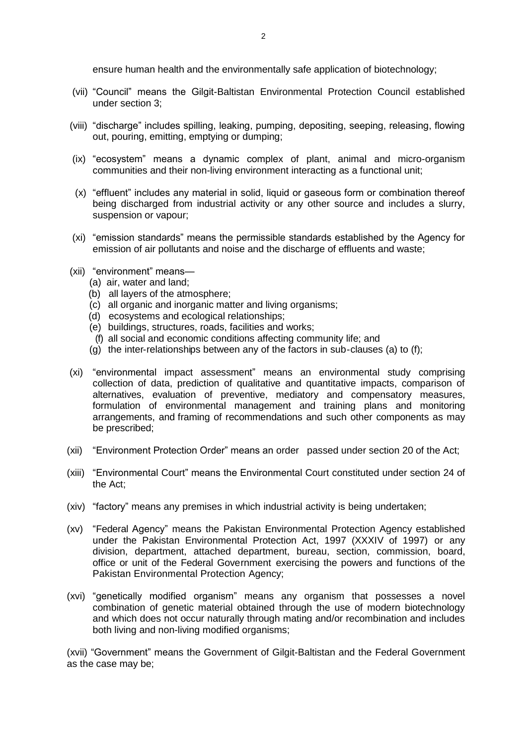ensure human health and the environmentally safe application of biotechnology;

- (vii) "Council" means the Gilgit-Baltistan Environmental Protection Council established under section 3;
- (viii) "discharge" includes spilling, leaking, pumping, depositing, seeping, releasing, flowing out, pouring, emitting, emptying or dumping;
- (ix) "ecosystem" means a dynamic complex of plant, animal and micro-organism communities and their non-living environment interacting as a functional unit;
- (x) "effluent" includes any material in solid, liquid or gaseous form or combination thereof being discharged from industrial activity or any other source and includes a slurry, suspension or vapour;
- (xi) "emission standards" means the permissible standards established by the Agency for emission of air pollutants and noise and the discharge of effluents and waste;
- (xii) "environment" means—
	- (a) air, water and land;
	- (b) all layers of the atmosphere;
	- (c) all organic and inorganic matter and living organisms;
	- (d) ecosystems and ecological relationships;
	- (e) buildings, structures, roads, facilities and works;
	- (f) all social and economic conditions affecting community life; and
	- (g) the inter-relationships between any of the factors in sub-clauses (a) to (f);
- (xi) "environmental impact assessment" means an environmental study comprising collection of data, prediction of qualitative and quantitative impacts, comparison of alternatives, evaluation of preventive, mediatory and compensatory measures, formulation of environmental management and training plans and monitoring arrangements, and framing of recommendations and such other components as may be prescribed;
- (xii) "Environment Protection Order" means an order passed under section 20 of the Act;
- (xiii) "Environmental Court" means the Environmental Court constituted under section 24 of the Act;
- (xiv) "factory" means any premises in which industrial activity is being undertaken;
- (xv) "Federal Agency" means the Pakistan Environmental Protection Agency established under the Pakistan Environmental Protection Act, 1997 (XXXIV of 1997) or any division, department, attached department, bureau, section, commission, board, office or unit of the Federal Government exercising the powers and functions of the Pakistan Environmental Protection Agency;
- (xvi) "genetically modified organism" means any organism that possesses a novel combination of genetic material obtained through the use of modern biotechnology and which does not occur naturally through mating and/or recombination and includes both living and non-living modified organisms;

(xvii) "Government" means the Government of Gilgit-Baltistan and the Federal Government as the case may be;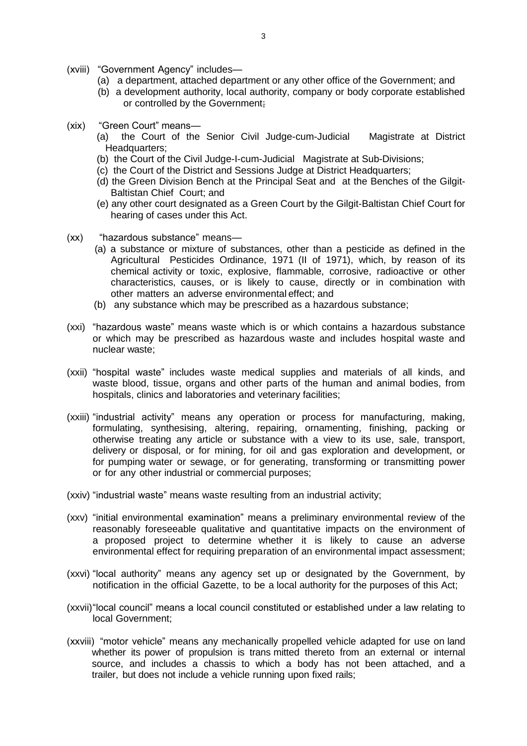- (xviii) "Government Agency" includes—
	- (a) a department, attached department or any other office of the Government; and
	- (b) a development authority, local authority, company or body corporate established or controlled by the Government;
- (xix) "Green Court" means—
	- (a) the Court of the Senior Civil Judge-cum-Judicial Magistrate at District Headquarters;
	- (b) the Court of the Civil Judge-I-cum-Judicial Magistrate at Sub-Divisions;
	- (c) the Court of the District and Sessions Judge at District Headquarters;
	- (d) the Green Division Bench at the Principal Seat and at the Benches of the Gilgit-Baltistan Chief Court; and
	- (e) any other court designated as a Green Court by the Gilgit-Baltistan Chief Court for hearing of cases under this Act.
- (xx) "hazardous substance" means—
	- (a) a substance or mixture of substances, other than a pesticide as defined in the Agricultural Pesticides Ordinance, 1971 (II of 1971), which, by reason of its chemical activity or toxic, explosive, flammable, corrosive, radioactive or other characteristics, causes, or is likely to cause, directly or in combination with other matters an adverse environmental effect; and
	- (b) any substance which may be prescribed as a hazardous substance;
- (xxi) "hazardous waste" means waste which is or which contains a hazardous substance or which may be prescribed as hazardous waste and includes hospital waste and nuclear waste;
- (xxii) "hospital waste" includes waste medical supplies and materials of all kinds, and waste blood, tissue, organs and other parts of the human and animal bodies, from hospitals, clinics and laboratories and veterinary facilities;
- (xxiii) "industrial activity" means any operation or process for manufacturing, making, formulating, synthesising, altering, repairing, ornamenting, finishing, packing or otherwise treating any article or substance with a view to its use, sale, transport, delivery or disposal, or for mining, for oil and gas exploration and development, or for pumping water or sewage, or for generating, transforming or transmitting power or for any other industrial or commercial purposes;
- (xxiv) "industrial waste" means waste resulting from an industrial activity;
- (xxv) "initial environmental examination" means a preliminary environmental review of the reasonably foreseeable qualitative and quantitative impacts on the environment of a proposed project to determine whether it is likely to cause an adverse environmental effect for requiring preparation of an environmental impact assessment;
- (xxvi) "local authority" means any agency set up or designated by the Government, by notification in the official Gazette, to be a local authority for the purposes of this Act;
- (xxvii)"local council" means a local council constituted or established under a law relating to local Government;
- (xxviii) "motor vehicle" means any mechanically propelled vehicle adapted for use on land whether its power of propulsion is trans mitted thereto from an external or internal source, and includes a chassis to which a body has not been attached, and a trailer, but does not include a vehicle running upon fixed rails;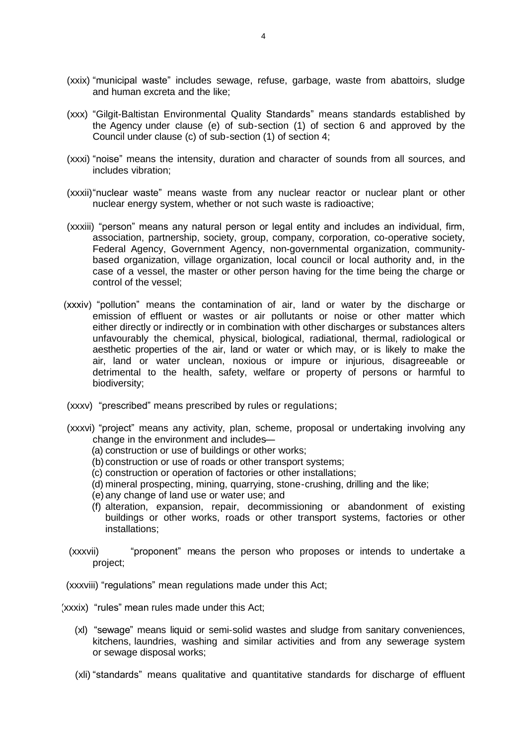- (xxix) "municipal waste" includes sewage, refuse, garbage, waste from abattoirs, sludge and human excreta and the like;
- (xxx) "Gilgit-Baltistan Environmental Quality Standards" means standards established by the Agency under clause (e) of sub-section (1) of section 6 and approved by the Council under clause (c) of sub-section (1) of section 4;
- (xxxi) "noise" means the intensity, duration and character of sounds from all sources, and includes vibration;
- (xxxii)"nuclear waste" means waste from any nuclear reactor or nuclear plant or other nuclear energy system, whether or not such waste is radioactive;
- (xxxiii) "person" means any natural person or legal entity and includes an individual, firm, association, partnership, society, group, company, corporation, co-operative society, Federal Agency, Government Agency, non-governmental organization, communitybased organization, village organization, local council or local authority and, in the case of a vessel, the master or other person having for the time being the charge or control of the vessel;
- (xxxiv) "pollution" means the contamination of air, land or water by the discharge or emission of effluent or wastes or air pollutants or noise or other matter which either directly or indirectly or in combination with other discharges or substances alters unfavourably the chemical, physical, biological, radiational, thermal, radiological or aesthetic properties of the air, land or water or which may, or is likely to make the air, land or water unclean, noxious or impure or injurious, disagreeable or detrimental to the health, safety, welfare or property of persons or harmful to biodiversity;
- (xxxv) "prescribed" means prescribed by rules or regulations;
- (xxxvi) "project" means any activity, plan, scheme, proposal or undertaking involving any change in the environment and includes—
	- (a) construction or use of buildings or other works;
	- (b) construction or use of roads or other transport systems;
	- (c) construction or operation of factories or other installations;
	- (d) mineral prospecting, mining, quarrying, stone-crushing, drilling and the like;
	- (e) any change of land use or water use; and
	- (f) alteration, expansion, repair, decommissioning or abandonment of existing buildings or other works, roads or other transport systems, factories or other installations;
- (xxxvii) "proponent" means the person who proposes or intends to undertake a project;

(xxxviii) "regulations" mean regulations made under this Act;

(xxxix) "rules" mean rules made under this Act;

- (xl) "sewage" means liquid or semi-solid wastes and sludge from sanitary conveniences, kitchens, laundries, washing and similar activities and from any sewerage system or sewage disposal works;
- (xli) "standards" means qualitative and quantitative standards for discharge of effluent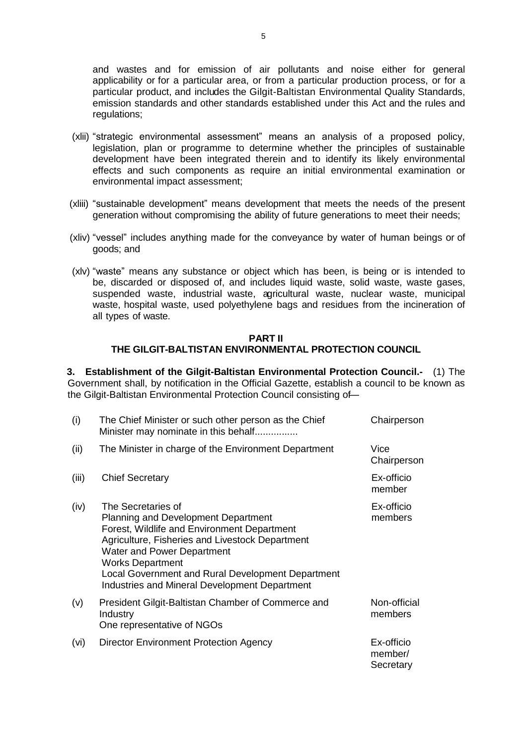and wastes and for emission of air pollutants and noise either for general applicability or for a particular area, or from a particular production process, or for a particular product, and includes the Gilgit-Baltistan Environmental Quality Standards, emission standards and other standards established under this Act and the rules and regulations;

- (xlii) "strategic environmental assessment" means an analysis of a proposed policy, legislation, plan or programme to determine whether the principles of sustainable development have been integrated therein and to identify its likely environmental effects and such components as require an initial environmental examination or environmental impact assessment;
- (xliii) "sustainable development" means development that meets the needs of the present generation without compromising the ability of future generations to meet their needs;
- (xliv) "vessel" includes anything made for the conveyance by water of human beings or of goods; and
- (xlv) "waste" means any substance or object which has been, is being or is intended to be, discarded or disposed of, and includes liquid waste, solid waste, waste gases, suspended waste, industrial waste, agricultural waste, nuclear waste, municipal waste, hospital waste, used polyethylene bags and residues from the incineration of all types of waste.

# **PART II THE GILGIT-BALTISTAN ENVIRONMENTAL PROTECTION COUNCIL**

**3. Establishment of the Gilgit-Baltistan Environmental Protection Council.-** (1) The Government shall, by notification in the Official Gazette, establish a council to be known as the Gilgit-Baltistan Environmental Protection Council consisting of—

| (i)   | The Chief Minister or such other person as the Chief<br>Minister may nominate in this behalf                                                                                                                                                                                                                                             | Chairperson                        |
|-------|------------------------------------------------------------------------------------------------------------------------------------------------------------------------------------------------------------------------------------------------------------------------------------------------------------------------------------------|------------------------------------|
| (ii)  | The Minister in charge of the Environment Department                                                                                                                                                                                                                                                                                     | Vice<br>Chairperson                |
| (iii) | <b>Chief Secretary</b>                                                                                                                                                                                                                                                                                                                   | Ex-officio<br>member               |
| (iv)  | The Secretaries of<br><b>Planning and Development Department</b><br>Forest, Wildlife and Environment Department<br>Agriculture, Fisheries and Livestock Department<br><b>Water and Power Department</b><br><b>Works Department</b><br>Local Government and Rural Development Department<br>Industries and Mineral Development Department | Ex-officio<br>members              |
| (v)   | President Gilgit-Baltistan Chamber of Commerce and<br>Industry<br>One representative of NGOs                                                                                                                                                                                                                                             | Non-official<br>members            |
| (vi)  | <b>Director Environment Protection Agency</b>                                                                                                                                                                                                                                                                                            | Ex-officio<br>member/<br>Secretary |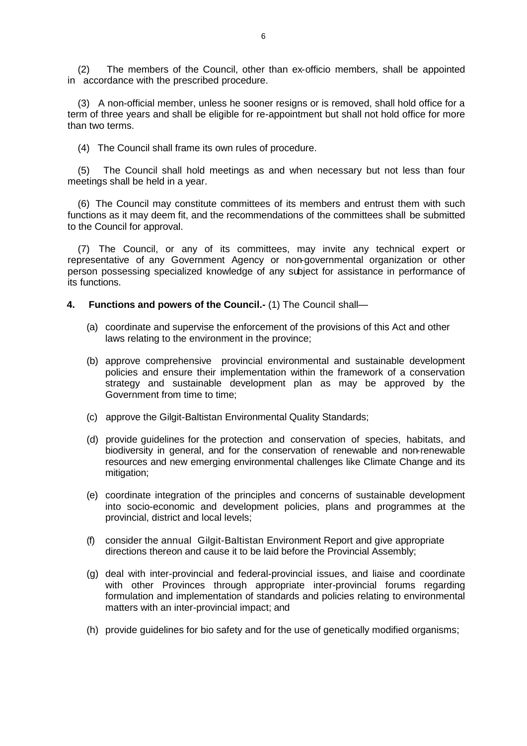(2) The members of the Council, other than ex-officio members, shall be appointed in accordance with the prescribed procedure.

 (3) A non-official member, unless he sooner resigns or is removed, shall hold office for a term of three years and shall be eligible for re-appointment but shall not hold office for more than two terms.

(4) The Council shall frame its own rules of procedure.

 (5) The Council shall hold meetings as and when necessary but not less than four meetings shall be held in a year.

 (6) The Council may constitute committees of its members and entrust them with such functions as it may deem fit, and the recommendations of the committees shall be submitted to the Council for approval.

 (7) The Council, or any of its committees, may invite any technical expert or representative of any Government Agency or non-governmental organization or other person possessing specialized knowledge of any subject for assistance in performance of its functions.

# **4. Functions and powers of the Council.-** (1) The Council shall—

- (a) coordinate and supervise the enforcement of the provisions of this Act and other laws relating to the environment in the province;
- (b) approve comprehensive provincial environmental and sustainable development policies and ensure their implementation within the framework of a conservation strategy and sustainable development plan as may be approved by the Government from time to time;
- (c) approve the Gilgit-Baltistan Environmental Quality Standards;
- (d) provide guidelines for the protection and conservation of species, habitats, and biodiversity in general, and for the conservation of renewable and non-renewable resources and new emerging environmental challenges like Climate Change and its mitigation;
- (e) coordinate integration of the principles and concerns of sustainable development into socio-economic and development policies, plans and programmes at the provincial, district and local levels;
- (f) consider the annual Gilgit-Baltistan Environment Report and give appropriate directions thereon and cause it to be laid before the Provincial Assembly;
- (g) deal with inter-provincial and federal-provincial issues, and liaise and coordinate with other Provinces through appropriate inter-provincial forums regarding formulation and implementation of standards and policies relating to environmental matters with an inter-provincial impact; and
- (h) provide guidelines for bio safety and for the use of genetically modified organisms;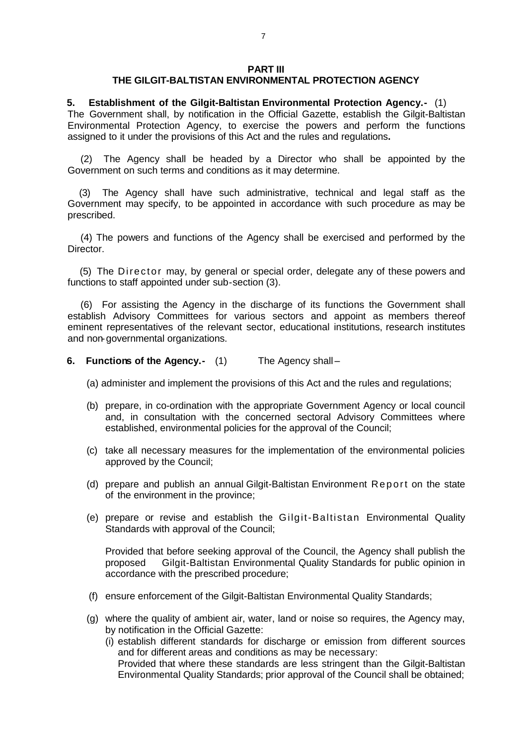#### **PART III**

#### **THE GILGIT-BALTISTAN ENVIRONMENTAL PROTECTION AGENCY**

#### **5. Establishment of the Gilgit-Baltistan Environmental Protection Agency.-** (1)

The Government shall, by notification in the Official Gazette, establish the Gilgit-Baltistan Environmental Protection Agency, to exercise the powers and perform the functions assigned to it under the provisions of this Act and the rules and regulations**.**

 (2) The Agency shall be headed by a Director who shall be appointed by the Government on such terms and conditions as it may determine.

 (3) The Agency shall have such administrative, technical and legal staff as the Government may specify, to be appointed in accordance with such procedure as may be prescribed.

 (4) The powers and functions of the Agency shall be exercised and performed by the Director.

(5) The Director may, by general or special order, delegate any of these powers and functions to staff appointed under sub-section (3).

 (6) For assisting the Agency in the discharge of its functions the Government shall establish Advisory Committees for various sectors and appoint as members thereof eminent representatives of the relevant sector, educational institutions, research institutes and non-governmental organizations.

- **6. Functions of the Agency.-** (1) The Agency shall
	- (a) administer and implement the provisions of this Act and the rules and regulations;
	- (b) prepare, in co-ordination with the appropriate Government Agency or local council and, in consultation with the concerned sectoral Advisory Committees where established, environmental policies for the approval of the Council;
	- (c) take all necessary measures for the implementation of the environmental policies approved by the Council;
	- (d) prepare and publish an annual Gilgit-Baltistan Environment Report on the state of the environment in the province;
	- (e) prepare or revise and establish the Gilgit-Baltistan Environmental Quality Standards with approval of the Council;

Provided that before seeking approval of the Council, the Agency shall publish the proposed Gilgit-Baltistan Environmental Quality Standards for public opinion in accordance with the prescribed procedure;

- (f) ensure enforcement of the Gilgit-Baltistan Environmental Quality Standards;
- (g) where the quality of ambient air, water, land or noise so requires, the Agency may, by notification in the Official Gazette:
	- (i) establish different standards for discharge or emission from different sources and for different areas and conditions as may be necessary:

Provided that where these standards are less stringent than the Gilgit-Baltistan Environmental Quality Standards; prior approval of the Council shall be obtained;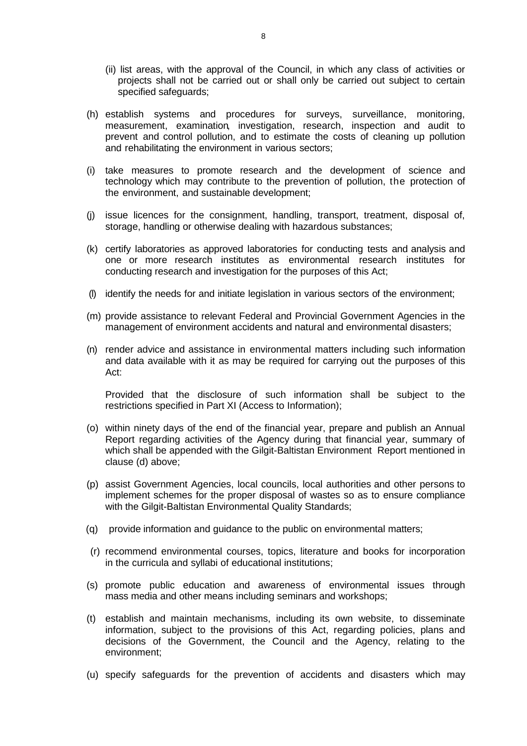- (ii) list areas, with the approval of the Council, in which any class of activities or projects shall not be carried out or shall only be carried out subject to certain specified safeguards;
- (h) establish systems and procedures for surveys, surveillance, monitoring, measurement, examination, investigation, research, inspection and audit to prevent and control pollution, and to estimate the costs of cleaning up pollution and rehabilitating the environment in various sectors;
- (i) take measures to promote research and the development of science and technology which may contribute to the prevention of pollution, the protection of the environment, and sustainable development;
- (j) issue licences for the consignment, handling, transport, treatment, disposal of, storage, handling or otherwise dealing with hazardous substances;
- (k) certify laboratories as approved laboratories for conducting tests and analysis and one or more research institutes as environmental research institutes for conducting research and investigation for the purposes of this Act;
- (l) identify the needs for and initiate legislation in various sectors of the environment;
- (m) provide assistance to relevant Federal and Provincial Government Agencies in the management of environment accidents and natural and environmental disasters;
- (n) render advice and assistance in environmental matters including such information and data available with it as may be required for carrying out the purposes of this Act:

Provided that the disclosure of such information shall be subject to the restrictions specified in Part XI (Access to Information);

- (o) within ninety days of the end of the financial year, prepare and publish an Annual Report regarding activities of the Agency during that financial year, summary of which shall be appended with the Gilgit-Baltistan Environment Report mentioned in clause (d) above;
- (p) assist Government Agencies, local councils, local authorities and other persons to implement schemes for the proper disposal of wastes so as to ensure compliance with the Gilgit-Baltistan Environmental Quality Standards;
- (q) provide information and guidance to the public on environmental matters;
- (r) recommend environmental courses, topics, literature and books for incorporation in the curricula and syllabi of educational institutions;
- (s) promote public education and awareness of environmental issues through mass media and other means including seminars and workshops;
- (t) establish and maintain mechanisms, including its own website, to disseminate information, subject to the provisions of this Act, regarding policies, plans and decisions of the Government, the Council and the Agency, relating to the environment;
- (u) specify safeguards for the prevention of accidents and disasters which may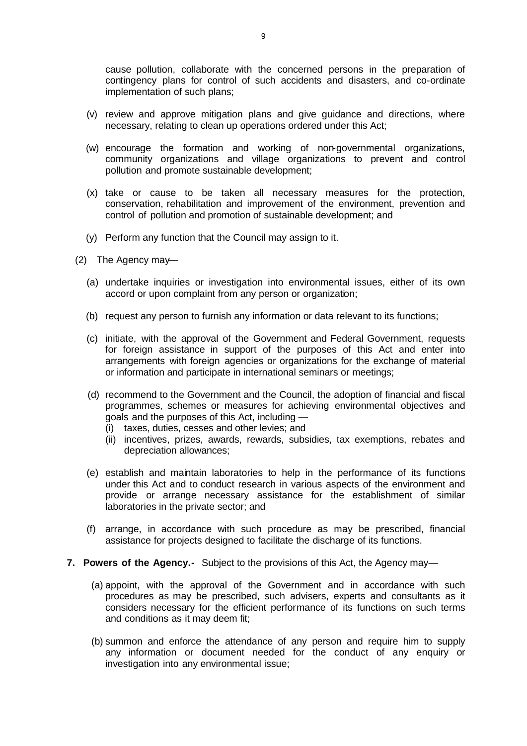cause pollution, collaborate with the concerned persons in the preparation of contingency plans for control of such accidents and disasters, and co-ordinate implementation of such plans;

- (v) review and approve mitigation plans and give guidance and directions, where necessary, relating to clean up operations ordered under this Act;
- (w) encourage the formation and working of non-governmental organizations, community organizations and village organizations to prevent and control pollution and promote sustainable development;
- (x) take or cause to be taken all necessary measures for the protection, conservation, rehabilitation and improvement of the environment, prevention and control of pollution and promotion of sustainable development; and
- (y) Perform any function that the Council may assign to it.
- (2) The Agency may—
	- (a) undertake inquiries or investigation into environmental issues, either of its own accord or upon complaint from any person or organization;
	- (b) request any person to furnish any information or data relevant to its functions;
	- (c) initiate, with the approval of the Government and Federal Government, requests for foreign assistance in support of the purposes of this Act and enter into arrangements with foreign agencies or organizations for the exchange of material or information and participate in international seminars or meetings;
	- (d) recommend to the Government and the Council, the adoption of financial and fiscal programmes, schemes or measures for achieving environmental objectives and goals and the purposes of this Act, including —
		- (i) taxes, duties, cesses and other levies; and
		- (ii) incentives, prizes, awards, rewards, subsidies, tax exemptions, rebates and depreciation allowances;
	- (e) establish and maintain laboratories to help in the performance of its functions under this Act and to conduct research in various aspects of the environment and provide or arrange necessary assistance for the establishment of similar laboratories in the private sector; and
	- (f) arrange, in accordance with such procedure as may be prescribed, financial assistance for projects designed to facilitate the discharge of its functions.
- **7. Powers of the Agency.-** Subject to the provisions of this Act, the Agency may—
	- (a) appoint, with the approval of the Government and in accordance with such procedures as may be prescribed, such advisers, experts and consultants as it considers necessary for the efficient performance of its functions on such terms and conditions as it may deem fit;
	- (b) summon and enforce the attendance of any person and require him to supply any information or document needed for the conduct of any enquiry or investigation into any environmental issue;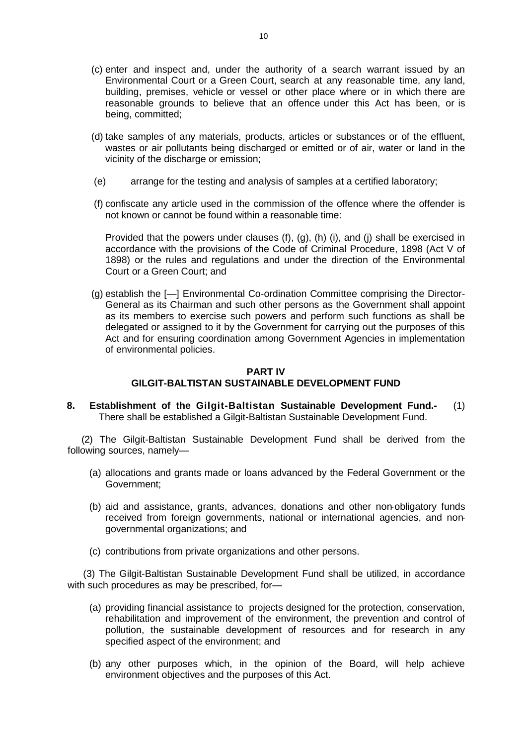- (c) enter and inspect and, under the authority of a search warrant issued by an Environmental Court or a Green Court, search at any reasonable time, any land, building, premises, vehicle or vessel or other place where or in which there are reasonable grounds to believe that an offence under this Act has been, or is being, committed;
- (d) take samples of any materials, products, articles or substances or of the effluent, wastes or air pollutants being discharged or emitted or of air, water or land in the vicinity of the discharge or emission;
- (e) arrange for the testing and analysis of samples at a certified laboratory;
- (f) confiscate any article used in the commission of the offence where the offender is not known or cannot be found within a reasonable time:

Provided that the powers under clauses  $(f)$ ,  $(g)$ ,  $(h)$   $(i)$ , and  $(i)$  shall be exercised in accordance with the provisions of the Code of Criminal Procedure, 1898 (Act V of 1898) or the rules and regulations and under the direction of the Environmental Court or a Green Court; and

 (g) establish the [—] Environmental Co-ordination Committee comprising the Director-General as its Chairman and such other persons as the Government shall appoint as its members to exercise such powers and perform such functions as shall be delegated or assigned to it by the Government for carrying out the purposes of this Act and for ensuring coordination among Government Agencies in implementation of environmental policies.

# **PART IV GILGIT-BALTISTAN SUSTAINABLE DEVELOPMENT FUND**

**8. Establishment of the Gilgit-Baltistan Sustainable Development Fund.-** (1) There shall be established a Gilgit-Baltistan Sustainable Development Fund.

 (2) The Gilgit-Baltistan Sustainable Development Fund shall be derived from the following sources, namely—

- (a) allocations and grants made or loans advanced by the Federal Government or the Government;
- (b) aid and assistance, grants, advances, donations and other non-obligatory funds received from foreign governments, national or international agencies, and nongovernmental organizations; and
- (c) contributions from private organizations and other persons.

 (3) The Gilgit-Baltistan Sustainable Development Fund shall be utilized, in accordance with such procedures as may be prescribed, for—

- (a) providing financial assistance to projects designed for the protection, conservation, rehabilitation and improvement of the environment, the prevention and control of pollution, the sustainable development of resources and for research in any specified aspect of the environment; and
- (b) any other purposes which, in the opinion of the Board, will help achieve environment objectives and the purposes of this Act.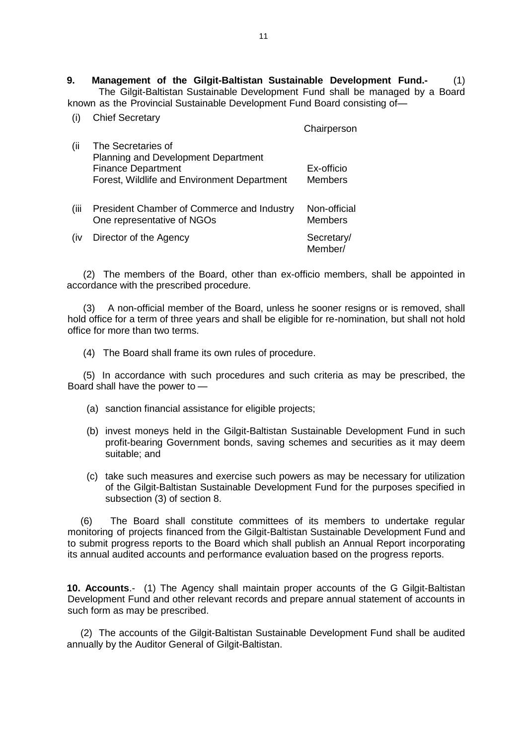**9. Management of the Gilgit-Baltistan Sustainable Development Fund.-** (1) The Gilgit-Baltistan Sustainable Development Fund shall be managed by a Board known as the Provincial Sustainable Development Fund Board consisting of-

| ,,,  | <b>UNICLOCUCIALY</b>                                                                                                                         | Chairperson                    |
|------|----------------------------------------------------------------------------------------------------------------------------------------------|--------------------------------|
| (ii  | The Secretaries of<br><b>Planning and Development Department</b><br><b>Finance Department</b><br>Forest, Wildlife and Environment Department | Ex-officio<br><b>Members</b>   |
| (iii | President Chamber of Commerce and Industry<br>One representative of NGOs                                                                     | Non-official<br><b>Members</b> |
| (iv  | Director of the Agency                                                                                                                       | Secretary/<br>Member/          |

(i) Chief Secretary

 (2) The members of the Board, other than ex-officio members, shall be appointed in accordance with the prescribed procedure.

 (3) A non-official member of the Board, unless he sooner resigns or is removed, shall hold office for a term of three years and shall be eligible for re-nomination, but shall not hold office for more than two terms.

(4) The Board shall frame its own rules of procedure.

 (5) In accordance with such procedures and such criteria as may be prescribed, the Board shall have the power to —

- (a) sanction financial assistance for eligible projects;
- (b) invest moneys held in the Gilgit-Baltistan Sustainable Development Fund in such profit-bearing Government bonds, saving schemes and securities as it may deem suitable; and
- (c) take such measures and exercise such powers as may be necessary for utilization of the Gilgit-Baltistan Sustainable Development Fund for the purposes specified in subsection (3) of section 8.

 (6) The Board shall constitute committees of its members to undertake regular monitoring of projects financed from the Gilgit-Baltistan Sustainable Development Fund and to submit progress reports to the Board which shall publish an Annual Report incorporating its annual audited accounts and performance evaluation based on the progress reports.

**10. Accounts**.- (1) The Agency shall maintain proper accounts of the G Gilgit-Baltistan Development Fund and other relevant records and prepare annual statement of accounts in such form as may be prescribed.

 (2) The accounts of the Gilgit-Baltistan Sustainable Development Fund shall be audited annually by the Auditor General of Gilgit-Baltistan.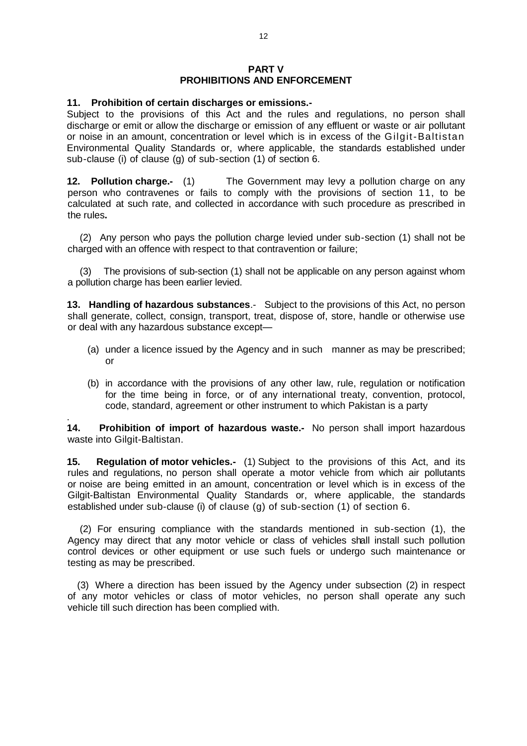#### **PART V PROHIBITIONS AND ENFORCEMENT**

#### **11. Prohibition of certain discharges or emissions.-**

Subject to the provisions of this Act and the rules and regulations, no person shall discharge or emit or allow the discharge or emission of any effluent or waste or air pollutant or noise in an amount, concentration or level which is in excess of the Gilgit-Baltistan Environmental Quality Standards or, where applicable, the standards established under sub-clause (i) of clause (g) of sub-section (1) of section 6.

**12. Pollution charge.-** (1) The Government may levy a pollution charge on any person who contravenes or fails to comply with the provisions of section 11, to be calculated at such rate, and collected in accordance with such procedure as prescribed in the rules**.**

 (2) Any person who pays the pollution charge levied under sub-section (1) shall not be charged with an offence with respect to that contravention or failure;

 (3) The provisions of sub-section (1) shall not be applicable on any person against whom a pollution charge has been earlier levied.

**13. Handling of hazardous substances**.- Subject to the provisions of this Act, no person shall generate, collect, consign, transport, treat, dispose of, store, handle or otherwise use or deal with any hazardous substance except—

- (a) under a licence issued by the Agency and in such manner as may be prescribed; or
- (b) in accordance with the provisions of any other law, rule, regulation or notification for the time being in force, or of any international treaty, convention, protocol, code, standard, agreement or other instrument to which Pakistan is a party

. **14. Prohibition of import of hazardous waste.-** No person shall import hazardous waste into Gilgit-Baltistan.

**15. Regulation of motor vehicles.-** (1) Subject to the provisions of this Act, and its rules and regulations, no person shall operate a motor vehicle from which air pollutants or noise are being emitted in an amount, concentration or level which is in excess of the Gilgit-Baltistan Environmental Quality Standards or, where applicable, the standards established under sub-clause (i) of clause (g) of sub-section (1) of section 6.

 (2) For ensuring compliance with the standards mentioned in sub-section (1), the Agency may direct that any motor vehicle or class of vehicles shall install such pollution control devices or other equipment or use such fuels or undergo such maintenance or testing as may be prescribed.

 (3) Where a direction has been issued by the Agency under subsection (2) in respect of any motor vehicles or class of motor vehicles, no person shall operate any such vehicle till such direction has been complied with.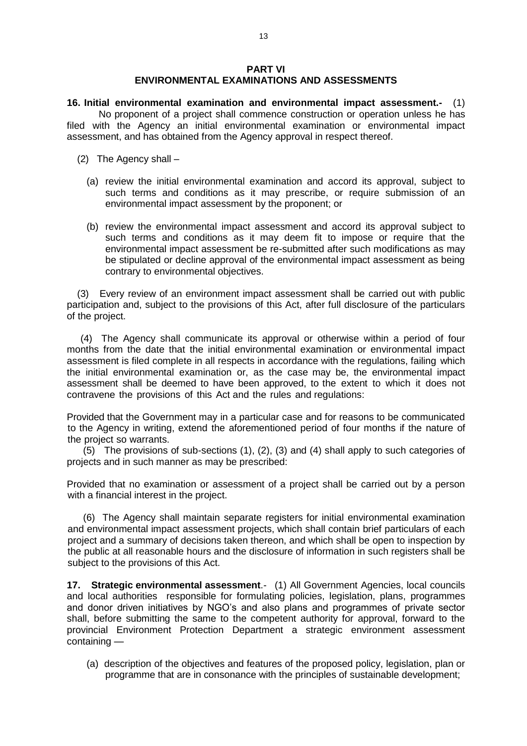# **PART VI ENVIRONMENTAL EXAMINATIONS AND ASSESSMENTS**

**16. Initial environmental examination and environmental impact assessment.-** (1) No proponent of a project shall commence construction or operation unless he has filed with the Agency an initial environmental examination or environmental impact assessment, and has obtained from the Agency approval in respect thereof.

- (2) The Agency shall
	- (a) review the initial environmental examination and accord its approval, subject to such terms and conditions as it may prescribe, or require submission of an environmental impact assessment by the proponent; or
	- (b) review the environmental impact assessment and accord its approval subject to such terms and conditions as it may deem fit to impose or require that the environmental impact assessment be re-submitted after such modifications as may be stipulated or decline approval of the environmental impact assessment as being contrary to environmental objectives.

 (3) Every review of an environment impact assessment shall be carried out with public participation and, subject to the provisions of this Act, after full disclosure of the particulars of the project.

 (4) The Agency shall communicate its approval or otherwise within a period of four months from the date that the initial environmental examination or environmental impact assessment is filed complete in all respects in accordance with the regulations, failing which the initial environmental examination or, as the case may be, the environmental impact assessment shall be deemed to have been approved, to the extent to which it does not contravene the provisions of this Act and the rules and regulations:

Provided that the Government may in a particular case and for reasons to be communicated to the Agency in writing, extend the aforementioned period of four months if the nature of the project so warrants.

 (5) The provisions of sub-sections (1), (2), (3) and (4) shall apply to such categories of projects and in such manner as may be prescribed:

Provided that no examination or assessment of a project shall be carried out by a person with a financial interest in the project.

 (6) The Agency shall maintain separate registers for initial environmental examination and environmental impact assessment projects, which shall contain brief particulars of each project and a summary of decisions taken thereon, and which shall be open to inspection by the public at all reasonable hours and the disclosure of information in such registers shall be subject to the provisions of this Act.

**17. Strategic environmental assessment**.- (1) All Government Agencies, local councils and local authorities responsible for formulating policies, legislation, plans, programmes and donor driven initiatives by NGO's and also plans and programmes of private sector shall, before submitting the same to the competent authority for approval, forward to the provincial Environment Protection Department a strategic environment assessment containing —

(a) description of the objectives and features of the proposed policy, legislation, plan or programme that are in consonance with the principles of sustainable development;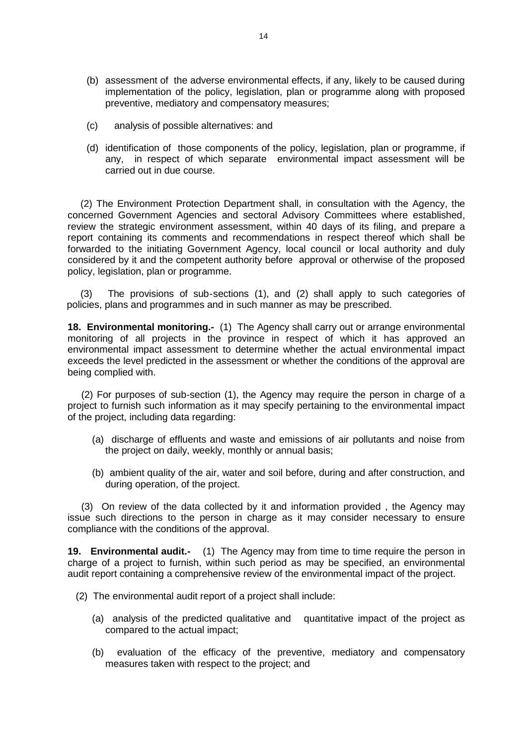- (b) assessment of the adverse environmental effects, if any, likely to be caused during implementation of the policy, legislation, plan or programme along with proposed preventive, mediatory and compensatory measures;
- (c) analysis of possible alternatives: and
- (d) identification of those components of the policy, legislation, plan or programme, if any, in respect of which separate environmental impact assessment will be carried out in due course.

 (2) The Environment Protection Department shall, in consultation with the Agency, the concerned Government Agencies and sectoral Advisory Committees where established, review the strategic environment assessment, within 40 days of its filing, and prepare a report containing its comments and recommendations in respect thereof which shall be forwarded to the initiating Government Agency, local council or local authority and duly considered by it and the competent authority before approval or otherwise of the proposed policy, legislation, plan or programme.

 (3) The provisions of sub-sections (1), and (2) shall apply to such categories of policies, plans and programmes and in such manner as may be prescribed.

**18. Environmental monitoring.-** (1) The Agency shall carry out or arrange environmental monitoring of all projects in the province in respect of which it has approved an environmental impact assessment to determine whether the actual environmental impact exceeds the level predicted in the assessment or whether the conditions of the approval are being complied with.

 (2) For purposes of sub-section (1), the Agency may require the person in charge of a project to furnish such information as it may specify pertaining to the environmental impact of the project, including data regarding:

- (a) discharge of effluents and waste and emissions of air pollutants and noise from the project on daily, weekly, monthly or annual basis;
- (b) ambient quality of the air, water and soil before, during and after construction, and during operation, of the project.

 (3) On review of the data collected by it and information provided , the Agency may issue such directions to the person in charge as it may consider necessary to ensure compliance with the conditions of the approval.

**19. Environmental audit.-** (1) The Agency may from time to time require the person in charge of a project to furnish, within such period as may be specified, an environmental audit report containing a comprehensive review of the environmental impact of the project.

- (2) The environmental audit report of a project shall include:
	- (a) analysis of the predicted qualitative and quantitative impact of the project as compared to the actual impact;
	- (b) evaluation of the efficacy of the preventive, mediatory and compensatory measures taken with respect to the project; and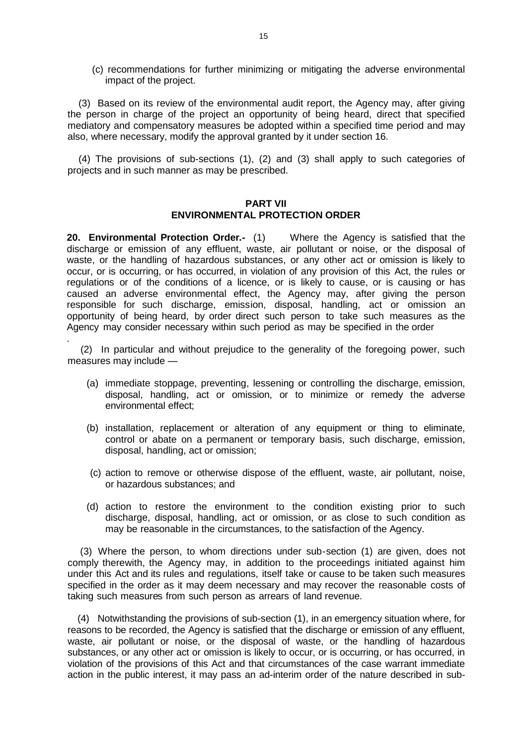(c) recommendations for further minimizing or mitigating the adverse environmental impact of the project.

 (3) Based on its review of the environmental audit report, the Agency may, after giving the person in charge of the project an opportunity of being heard, direct that specified mediatory and compensatory measures be adopted within a specified time period and may also, where necessary, modify the approval granted by it under section 16.

 (4) The provisions of sub-sections (1), (2) and (3) shall apply to such categories of projects and in such manner as may be prescribed.

# **PART VII ENVIRONMENTAL PROTECTION ORDER**

**20. Environmental Protection Order***.-* (1) Where the Agency is satisfied that the discharge or emission of any effluent, waste, air pollutant or noise, or the disposal of waste, or the handling of hazardous substances, or any other act or omission is likely to occur, or is occurring, or has occurred, in violation of any provision of this Act, the rules or regulations or of the conditions of a licence, or is likely to cause, or is causing or has caused an adverse environmental effect, the Agency may, after giving the person responsible for such discharge, emission, disposal, handling, act or omission an opportunity of being heard, by order direct such person to take such measures as the Agency may consider necessary within such period as may be specified in the order

 (2) In particular and without prejudice to the generality of the foregoing power, such measures may include —

.

- (a) immediate stoppage, preventing, lessening or controlling the discharge, emission, disposal, handling, act or omission, or to minimize or remedy the adverse environmental effect;
- (b) installation, replacement or alteration of any equipment or thing to eliminate, control or abate on a permanent or temporary basis, such discharge, emission, disposal, handling, act or omission;
- (c) action to remove or otherwise dispose of the effluent, waste, air pollutant, noise, or hazardous substances; and
- (d) action to restore the environment to the condition existing prior to such discharge, disposal, handling, act or omission, or as close to such condition as may be reasonable in the circumstances, to the satisfaction of the Agency.

 (3) Where the person, to whom directions under sub-section (1) are given, does not comply therewith, the Agency may, in addition to the proceedings initiated against him under this Act and its rules and regulations, itself take or cause to be taken such measures specified in the order as it may deem necessary and may recover the reasonable costs of taking such measures from such person as arrears of land revenue.

 (4) Notwithstanding the provisions of sub-section (1), in an emergency situation where, for reasons to be recorded, the Agency is satisfied that the discharge or emission of any effluent, waste, air pollutant or noise, or the disposal of waste, or the handling of hazardous substances, or any other act or omission is likely to occur, or is occurring, or has occurred, in violation of the provisions of this Act and that circumstances of the case warrant immediate action in the public interest, it may pass an ad-interim order of the nature described in sub-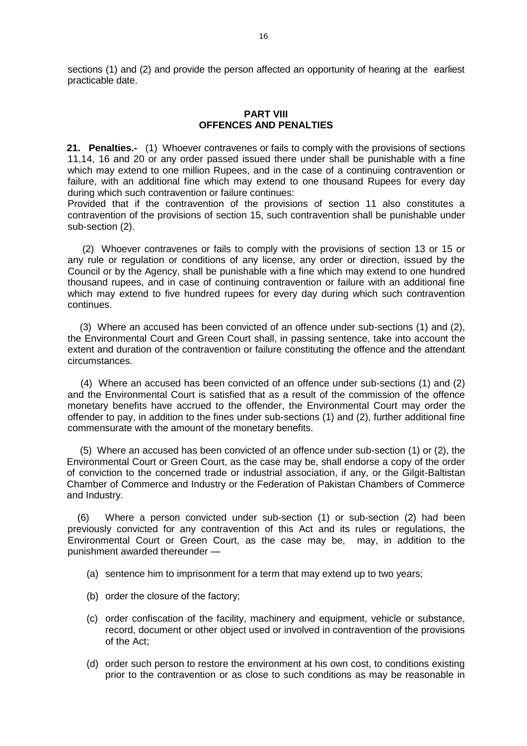sections (1) and (2) and provide the person affected an opportunity of hearing at the earliest practicable date.

# **PART VIII OFFENCES AND PENALTIES**

**21. Penalties.-** (1) Whoever contravenes or fails to comply with the provisions of sections 11,14, 16 and 20 or any order passed issued there under shall be punishable with a fine which may extend to one million Rupees, and in the case of a continuing contravention or failure, with an additional fine which may extend to one thousand Rupees for every day during which such contravention or failure continues:

Provided that if the contravention of the provisions of section 11 also constitutes a contravention of the provisions of section 15, such contravention shall be punishable under sub-section (2).

 (2) Whoever contravenes or fails to comply with the provisions of section 13 or 15 or any rule or regulation or conditions of any license, any order or direction, issued by the Council or by the Agency, shall be punishable with a fine which may extend to one hundred thousand rupees, and in case of continuing contravention or failure with an additional fine which may extend to five hundred rupees for every day during which such contravention continues.

 (3) Where an accused has been convicted of an offence under sub-sections (1) and (2), the Environmental Court and Green Court shall, in passing sentence, take into account the extent and duration of the contravention or failure constituting the offence and the attendant circumstances.

 (4) Where an accused has been convicted of an offence under sub-sections (1) and (2) and the Environmental Court is satisfied that as a result of the commission of the offence monetary benefits have accrued to the offender, the Environmental Court may order the offender to pay, in addition to the fines under sub-sections (1) and (2), further additional fine commensurate with the amount of the monetary benefits.

 (5) Where an accused has been convicted of an offence under sub-section (1) or (2), the Environmental Court or Green Court, as the case may be, shall endorse a copy of the order of conviction to the concerned trade or industrial association, if any, or the Gilgit-Baltistan Chamber of Commerce and Industry or the Federation of Pakistan Chambers of Commerce and Industry.

 (6) Where a person convicted under sub-section (1) or sub-section (2) had been previously convicted for any contravention of this Act and its rules or regulations, the Environmental Court or Green Court, as the case may be, may, in addition to the punishment awarded thereunder —

- (a) sentence him to imprisonment for a term that may extend up to two years;
- (b) order the closure of the factory;
- (c) order confiscation of the facility, machinery and equipment, vehicle or substance, record, document or other object used or involved in contravention of the provisions of the Act;
- (d) order such person to restore the environment at his own cost, to conditions existing prior to the contravention or as close to such conditions as may be reasonable in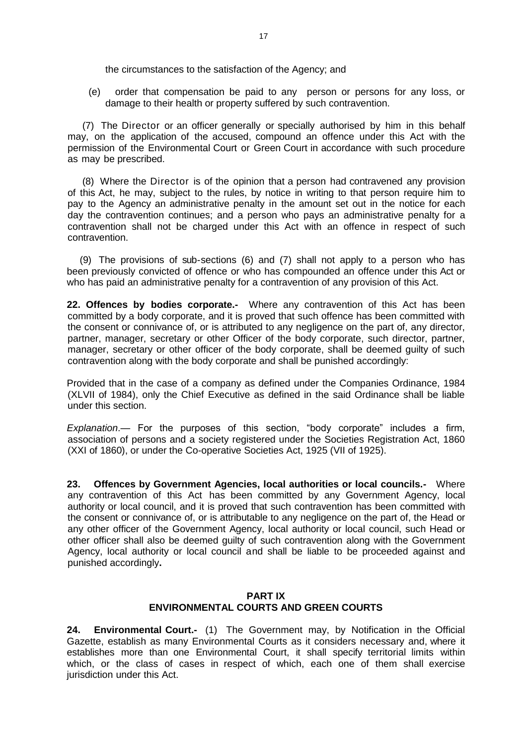the circumstances to the satisfaction of the Agency; and

 (e) order that compensation be paid to any person or persons for any loss, or damage to their health or property suffered by such contravention.

 (7) The Director or an officer generally or specially authorised by him in this behalf may, on the application of the accused, compound an offence under this Act with the permission of the Environmental Court or Green Court in accordance with such procedure as may be prescribed.

 (8) Where the Director is of the opinion that a person had contravened any provision of this Act, he may, subject to the rules, by notice in writing to that person require him to pay to the Agency an administrative penalty in the amount set out in the notice for each day the contravention continues; and a person who pays an administrative penalty for a contravention shall not be charged under this Act with an offence in respect of such contravention.

 (9) The provisions of sub-sections (6) and (7) shall not apply to a person who has been previously convicted of offence or who has compounded an offence under this Act or who has paid an administrative penalty for a contravention of any provision of this Act.

**22. Offences by bodies corporate.-** Where any contravention of this Act has been committed by a body corporate, and it is proved that such offence has been committed with the consent or connivance of, or is attributed to any negligence on the part of, any director, partner, manager, secretary or other Officer of the body corporate, such director, partner, manager, secretary or other officer of the body corporate, shall be deemed guilty of such contravention along with the body corporate and shall be punished accordingly:

Provided that in the case of a company as defined under the Companies Ordinance, 1984 (XLVII of 1984), only the Chief Executive as defined in the said Ordinance shall be liable under this section.

*Explanation*.— For the purposes of this section, "body corporate" includes a firm, association of persons and a society registered under the Societies Registration Act, 1860 (XXI of 1860), or under the Co-operative Societies Act, 1925 (VII of 1925).

**23. Offences by Government Agencies, local authorities or local councils.-** Where any contravention of this Act has been committed by any Government Agency, local authority or local council, and it is proved that such contravention has been committed with the consent or connivance of, or is attributable to any negligence on the part of, the Head or any other officer of the Government Agency, local authority or local council, such Head or other officer shall also be deemed guilty of such contravention along with the Government Agency, local authority or local council and shall be liable to be proceeded against and punished accordingly**.**

# **PART IX ENVIRONMENTAL COURTS AND GREEN COURTS**

**24. Environmental Court.-** (1) The Government may, by Notification in the Official Gazette, establish as many Environmental Courts as it considers necessary and, where it establishes more than one Environmental Court, it shall specify territorial limits within which, or the class of cases in respect of which, each one of them shall exercise jurisdiction under this Act.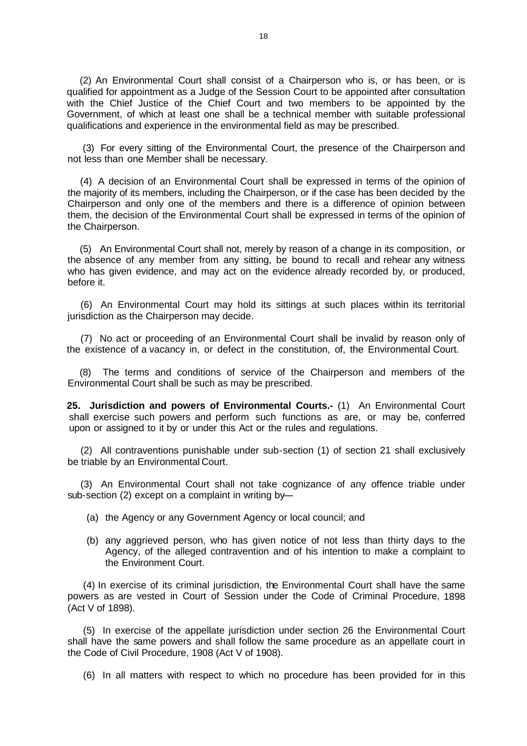(2) An Environmental Court shall consist of a Chairperson who is, or has been, or is qualified for appointment as a Judge of the Session Court to be appointed after consultation with the Chief Justice of the Chief Court and two members to be appointed by the Government, of which at least one shall be a technical member with suitable professional qualifications and experience in the environmental field as may be prescribed.

 (3) For every sitting of the Environmental Court, the presence of the Chairperson and not less than one Member shall be necessary.

 (4) A decision of an Environmental Court shall be expressed in terms of the opinion of the majority of its members, including the Chairperson, or if the case has been decided by the Chairperson and only one of the members and there is a difference of opinion between them, the decision of the Environmental Court shall be expressed in terms of the opinion of the Chairperson.

 (5) An Environmental Court shall not, merely by reason of a change in its composition, or the absence of any member from any sitting, be bound to recall and rehear any witness who has given evidence, and may act on the evidence already recorded by, or produced, before it.

 (6) An Environmental Court may hold its sittings at such places within its territorial jurisdiction as the Chairperson may decide.

 (7) No act or proceeding of an Environmental Court shall be invalid by reason only of the existence of a vacancy in, or defect in the constitution, of, the Environmental Court.

The terms and conditions of service of the Chairperson and members of the Environmental Court shall be such as may be prescribed.

**25. Jurisdiction and powers of Environmental Courts.-** (1) An Environmental Court shall exercise such powers and perform such functions as are, or may be, conferred upon or assigned to it by or under this Act or the rules and regulations.

 (2) All contraventions punishable under sub-section (1) of section 21 shall exclusively be triable by an Environmental Court.

 (3) An Environmental Court shall not take cognizance of any offence triable under sub-section (2) except on a complaint in writing by—

- (a) the Agency or any Government Agency or local council; and
- (b) any aggrieved person, who has given notice of not less than thirty days to the Agency, of the alleged contravention and of his intention to make a complaint to the Environment Court.

 (4) In exercise of its criminal jurisdiction, the Environmental Court shall have the same powers as are vested in Court of Session under the Code of Criminal Procedure, 1898 (Act V of 1898).

 (5) In exercise of the appellate jurisdiction under section 26 the Environmental Court shall have the same powers and shall follow the same procedure as an appellate court in the Code of Civil Procedure, 1908 (Act V of 1908).

(6) In all matters with respect to which no procedure has been provided for in this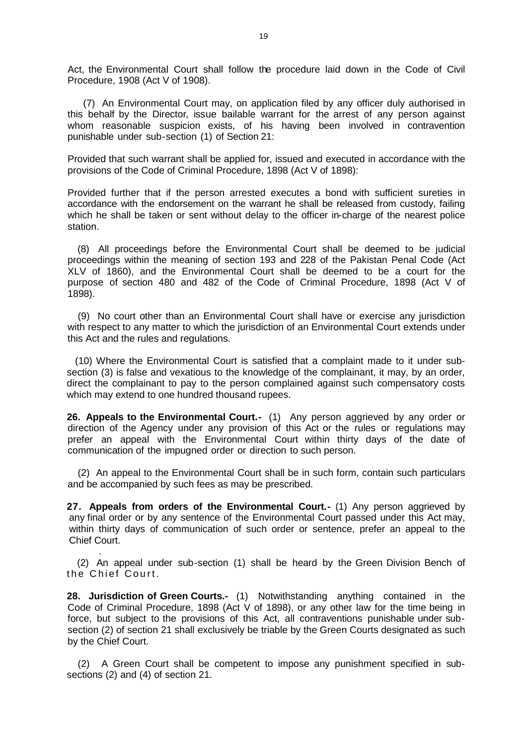Act, the Environmental Court shall follow the procedure laid down in the Code of Civil Procedure, 1908 (Act V of 1908).

 (7) An Environmental Court may, on application filed by any officer duly authorised in this behalf by the Director, issue bailable warrant for the arrest of any person against whom reasonable suspicion exists, of his having been involved in contravention punishable under sub-section (1) of Section 21:

Provided that such warrant shall be applied for, issued and executed in accordance with the provisions of the Code of Criminal Procedure, 1898 (Act V of 1898):

Provided further that if the person arrested executes a bond with sufficient sureties in accordance with the endorsement on the warrant he shall be released from custody, failing which he shall be taken or sent without delay to the officer in-charge of the nearest police station.

 (8) All proceedings before the Environmental Court shall be deemed to be judicial proceedings within the meaning of section 193 and 228 of the Pakistan Penal Code (Act XLV of 1860), and the Environmental Court shall be deemed to be a court for the purpose of section 480 and 482 of the Code of Criminal Procedure, 1898 (Act V of 1898).

 (9) No court other than an Environmental Court shall have or exercise any jurisdiction with respect to any matter to which the jurisdiction of an Environmental Court extends under this Act and the rules and regulations.

 (10) Where the Environmental Court is satisfied that a complaint made to it under subsection (3) is false and vexatious to the knowledge of the complainant, it may, by an order, direct the complainant to pay to the person complained against such compensatory costs which may extend to one hundred thousand rupees.

**26. Appeals to the Environmental Court.-** (1) Any person aggrieved by any order or direction of the Agency under any provision of this Act or the rules or regulations may prefer an appeal with the Environmental Court within thirty days of the date of communication of the impugned order or direction to such person.

 (2) An appeal to the Environmental Court shall be in such form, contain such particulars and be accompanied by such fees as may be prescribed.

**27. Appeals from orders of the Environmental Court.-** (1) Any person aggrieved by any final order or by any sentence of the Environmental Court passed under this Act may, within thirty days of communication of such order or sentence, prefer an appeal to the Chief Court.

 (2) An appeal under sub-section (1) shall be heard by the Green Division Bench of the Chief Court.

.

**28. Jurisdiction of Green Courts.-** (1) Notwithstanding anything contained in the Code of Criminal Procedure, 1898 (Act V of 1898), or any other law for the time being in force, but subject to the provisions of this Act, all contraventions punishable under subsection (2) of section 21 shall exclusively be triable by the Green Courts designated as such by the Chief Court.

 (2) A Green Court shall be competent to impose any punishment specified in subsections (2) and (4) of section 21.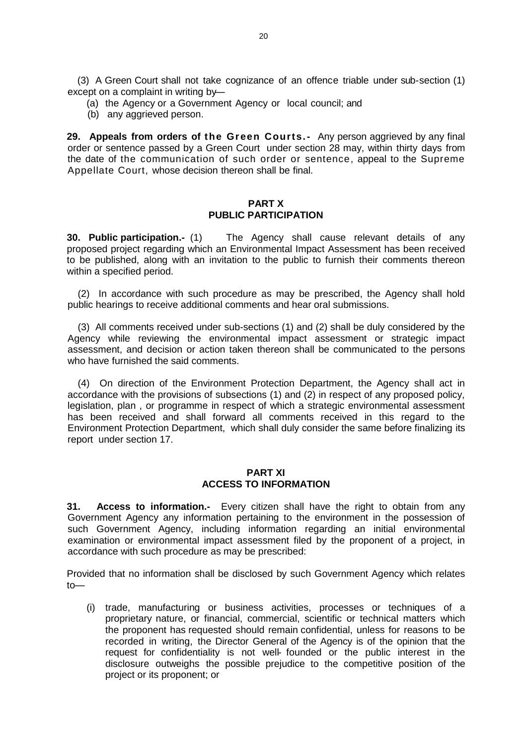(3) A Green Court shall not take cognizance of an offence triable under sub-section (1) except on a complaint in writing by—

- (a) the Agency or a Government Agency or local council; and
- (b) any aggrieved person.

**29. Appeals from orders of the Green Courts.-** Any person aggrieved by any final order or sentence passed by a Green Court under section 28 may, within thirty days from the date of the communication of such order or sentence, appeal to the Supreme Appellate Court, whose decision thereon shall be final.

# **PART X PUBLIC PARTICIPATION**

**30. Public participation.-** (1) The Agency shall cause relevant details of any proposed project regarding which an Environmental Impact Assessment has been received to be published, along with an invitation to the public to furnish their comments thereon within a specified period.

 (2) In accordance with such procedure as may be prescribed, the Agency shall hold public hearings to receive additional comments and hear oral submissions.

 (3) All comments received under sub-sections (1) and (2) shall be duly considered by the Agency while reviewing the environmental impact assessment or strategic impact assessment, and decision or action taken thereon shall be communicated to the persons who have furnished the said comments.

 (4) On direction of the Environment Protection Department, the Agency shall act in accordance with the provisions of subsections (1) and (2) in respect of any proposed policy, legislation, plan , or programme in respect of which a strategic environmental assessment has been received and shall forward all comments received in this regard to the Environment Protection Department, which shall duly consider the same before finalizing its report under section 17.

# **PART XI ACCESS TO INFORMATION**

**31. Access to information.-** Every citizen shall have the right to obtain from any Government Agency any information pertaining to the environment in the possession of such Government Agency, including information regarding an initial environmental examination or environmental impact assessment filed by the proponent of a project, in accordance with such procedure as may be prescribed:

Provided that no information shall be disclosed by such Government Agency which relates  $t$ <sup> $\sim$ </sup>

(i) trade, manufacturing or business activities, processes or techniques of a proprietary nature, or financial, commercial, scientific or technical matters which the proponent has requested should remain confidential, unless for reasons to be recorded in writing, the Director General of the Agency is of the opinion that the request for confidentiality is not well- founded or the public interest in the disclosure outweighs the possible prejudice to the competitive position of the project or its proponent; or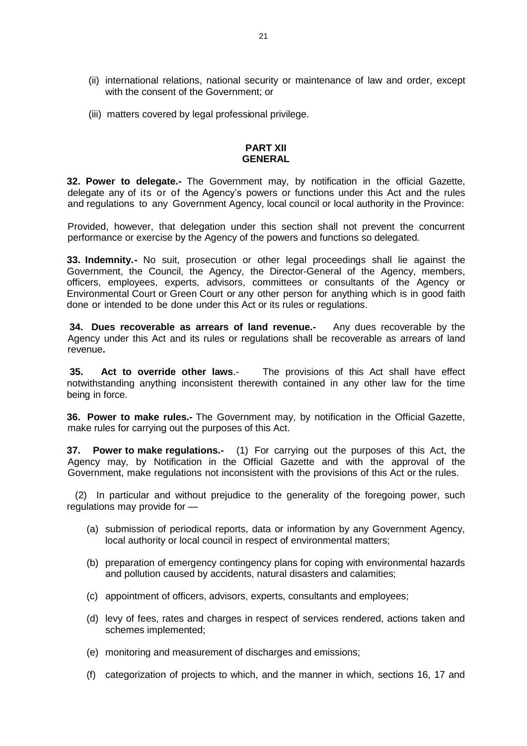- (ii) international relations, national security or maintenance of law and order, except with the consent of the Government; or
- (iii) matters covered by legal professional privilege.

# **PART XII GENERAL**

**32. Power to delegate.-** The Government may, by notification in the official Gazette, delegate any of its or of the Agency's powers or functions under this Act and the rules and regulations to any Government Agency, local council or local authority in the Province:

Provided, however, that delegation under this section shall not prevent the concurrent performance or exercise by the Agency of the powers and functions so delegated.

**33. Indemnity.-** No suit, prosecution or other legal proceedings shall lie against the Government, the Council, the Agency, the Director-General of the Agency, members, officers, employees, experts, advisors, committees or consultants of the Agency or Environmental Court or Green Court or any other person for anything which is in good faith done or intended to be done under this Act or its rules or regulations.

**34. Dues recoverable as arrears of land revenue.-** Any dues recoverable by the Agency under this Act and its rules or regulations shall be recoverable as arrears of land revenue**.**

**35. Act to override other laws**.- The provisions of this Act shall have effect notwithstanding anything inconsistent therewith contained in any other law for the time being in force.

**36. Power to make rules.-** The Government may, by notification in the Official Gazette, make rules for carrying out the purposes of this Act.

**37. Power to make regulations.-** (1) For carrying out the purposes of this Act, the Agency may, by Notification in the Official Gazette and with the approval of the Government, make regulations not inconsistent with the provisions of this Act or the rules.

 (2) In particular and without prejudice to the generality of the foregoing power, such regulations may provide for —

- (a) submission of periodical reports, data or information by any Government Agency, local authority or local council in respect of environmental matters;
- (b) preparation of emergency contingency plans for coping with environmental hazards and pollution caused by accidents, natural disasters and calamities;
- (c) appointment of officers, advisors, experts, consultants and employees;
- (d) levy of fees, rates and charges in respect of services rendered, actions taken and schemes implemented;
- (e) monitoring and measurement of discharges and emissions;
- (f) categorization of projects to which, and the manner in which, sections 16, 17 and